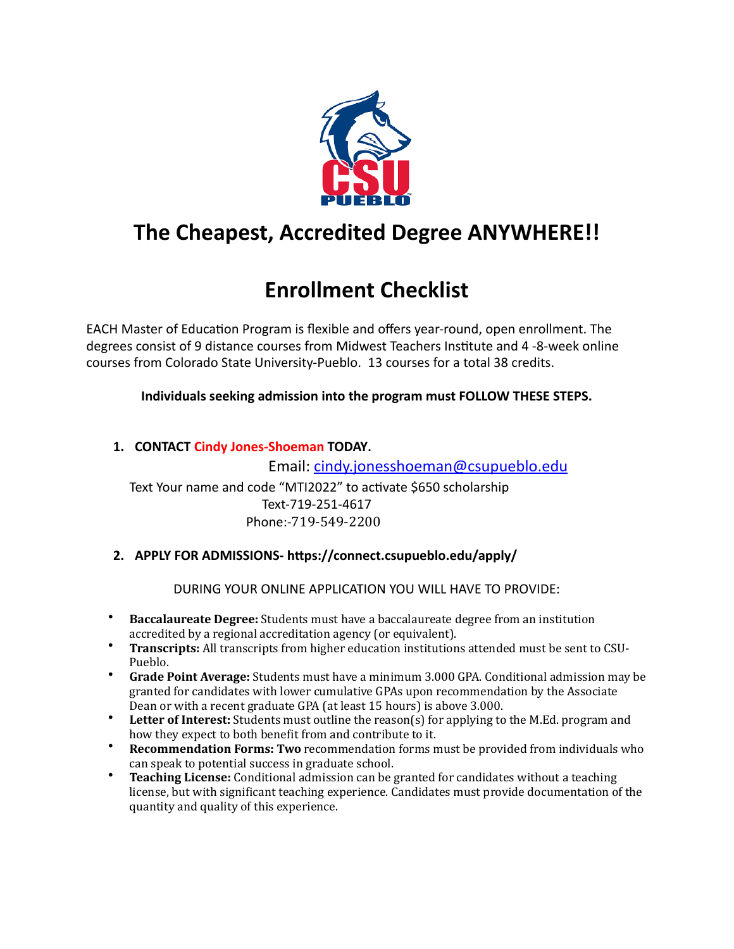

## **The Cheapest, Accredited Degree ANYWHERE!!**

# **Enrollment Checklist**

EACH Master of Education Program is flexible and offers year-round, open enrollment. The degrees consist of 9 distance courses from Midwest Teachers Institute and 4 -8-week online courses from Colorado State University-Pueblo. 13 courses for a total 38 credits.

**Individuals seeking admission into the program must FOLLOW THESE STEPS.** 

1. **CONTACT Cindy Jones-Shoeman TODAY**.

Email: [cindy.jonesshoeman@csupueblo.edu](mailto:cindy.jonesshoeman@csupueblo.edu) Text Your name and code "MTI2022" to activate \$650 scholarship Text-719-251-4617 Phone:-719-549-2200

**2. APPLY FOR ADMISSIONS- https://connect.csupueblo.edu/apply/**

DURING YOUR ONLINE APPLICATION YOU WILL HAVE TO PROVIDE:

- **Baccalaureate Degree:** Students must have a baccalaureate degree from an institution accredited by a regional accreditation agency (or equivalent).
- \* **Transcripts:** All transcripts from higher education institutions attended must be sent to CSU-Pueblo.
- **Grade Point Average:** Students must have a minimum 3.000 GPA. Conditional admission may be granted for candidates with lower cumulative GPAs upon recommendation by the Associate Dean or with a recent graduate GPA (at least 15 hours) is above 3.000.
- **Letter of Interest:** Students must outline the reason(s) for applying to the M.Ed. program and how they expect to both benefit from and contribute to it.
- **Recommendation Forms: Two recommendation forms must be provided from individuals who** can speak to potential success in graduate school.
- **Teaching License:** Conditional admission can be granted for candidates without a teaching license, but with significant teaching experience. Candidates must provide documentation of the quantity and quality of this experience.